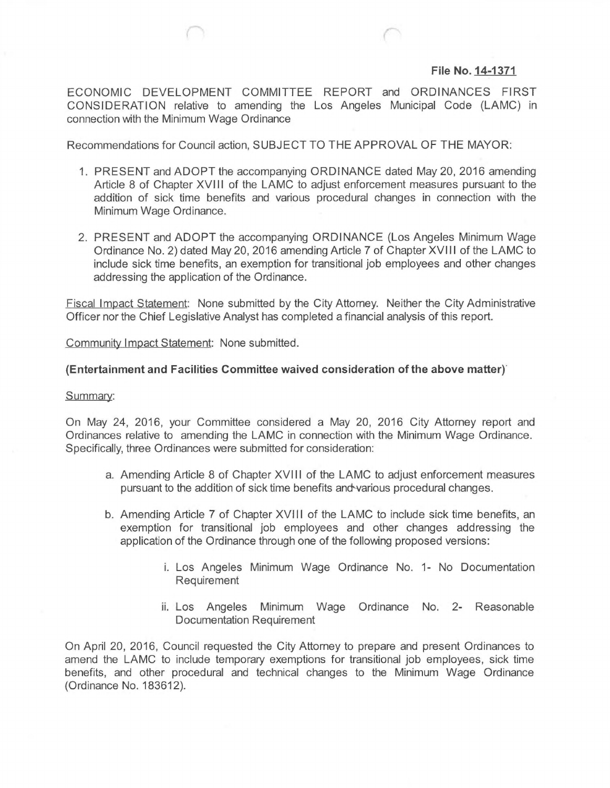## **File No. 14-1371**

ECONOMIC DEVELOPMENT COMMITTEE REPORT and ORDINANCES FIRST CONSIDERATION relative to amending the Los Angeles Municipal Code (LAMC) in connection with the Minimum Wage Ordinance

Recommendations for Council action, SUBJECT TO THE APPROVAL OF THE MAYOR:

- 1. PRESENT and ADOPT the accompanying ORDINANCE dated May 20, 2016 amending Article 8 of Chapter XVIII of the LAMC to adjust enforcement measures pursuant to the addition of sick time benefits and various procedural changes in connection with the Minimum Wage Ordinance.
- 2. PRESENT and ADOPT the accompanying ORDINANCE (Los Angeles Minimum Wage Ordinance No. 2) dated May 20, 2016 amending Article 7 of Chapter XVI11 of the LAMC to include sick time benefits, an exemption for transitional job employees and other changes addressing the application of the Ordinance.

Fiscal Impact Statement: None submitted by the City Attorney. Neither the City Administrative Officer nor the Chief Legislative Analyst has completed a financial analysis of this report.

Community Impact Statement: None submitted.

## **(Entertainment and Facilities Committee waived consideration of the above matter)**

## Summary:

On May 24, 2016, your Committee considered a May 20, 2016 City Attorney report and Ordinances relative to amending the LAMC in connection with the Minimum Wage Ordinance. Specifically, three Ordinances were submitted for consideration:

- a. Amending Article 8 of Chapter XVIII of the LAMC to adjust enforcement measures pursuant to the addition of sick time benefits andwarious procedural changes.
- b. Amending Article 7 of Chapter XVIII of the LAMC to include sick time benefits, an exemption for transitional job employees and other changes addressing the application of the Ordinance through one of the following proposed versions:
	- i. Los Angeles Minimum Wage Ordinance No. 1- No Documentation Requirement
	- ii. Los Angeles Minimum Wage Ordinance No. 2- Reasonable Documentation Requirement

On April 20, 2016, Council requested the City Attorney to prepare and present Ordinances to amend the LAMC to include temporary exemptions for transitional job employees, sick time benefits, and other procedural and technical changes to the Minimum Wage Ordinance (Ordinance No. 183612).